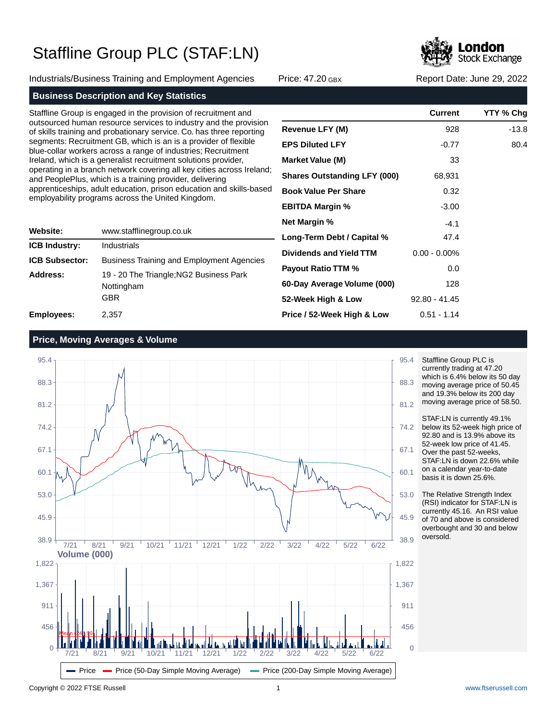Industrials/Business Training and Employment Agencies Price: 47.20 GBX Report Date: June 29, 2022



### **Business Description and Key Statistics**

Staffline Group is engaged in the provision of recruitment and outsourced human resource services to industry and the provision of skills training and probationary service. Co. has three reporting segments: Recruitment GB, which is an is a provider of flexible blue-collar workers across a range of industries; Recruitment Ireland, which is a generalist recruitment solutions provider, operating in a branch network covering all key cities across Ireland; and PeoplePlus, which is a training provider, delivering apprenticeships, adult education, prison education and skills-based employability programs across the United Kingdom.

| Website:              | www.stafflinegroup.co.uk                                     |  |  |  |
|-----------------------|--------------------------------------------------------------|--|--|--|
| <b>ICB Industry:</b>  | Industrials                                                  |  |  |  |
| <b>ICB Subsector:</b> | <b>Business Training and Employment Agencies</b>             |  |  |  |
| Address:              | 19 - 20 The Triangle; NG2 Business Park<br>Nottingham<br>GBR |  |  |  |
| <b>Employees:</b>     | 2.357                                                        |  |  |  |

|                                     | <b>Current</b>  | YTY % Chg |
|-------------------------------------|-----------------|-----------|
| <b>Revenue LFY (M)</b>              | 928             | -13.8     |
| <b>EPS Diluted LFY</b>              | $-0.77$         | 80.4      |
| <b>Market Value (M)</b>             | 33              |           |
| <b>Shares Outstanding LFY (000)</b> | 68,931          |           |
| <b>Book Value Per Share</b>         | 0.32            |           |
| <b>EBITDA Margin %</b>              | $-3.00$         |           |
| Net Margin %                        | $-4.1$          |           |
| Long-Term Debt / Capital %          | 47.4            |           |
| Dividends and Yield TTM             | $0.00 - 0.00\%$ |           |
| <b>Payout Ratio TTM %</b>           | 0.0             |           |
| 60-Day Average Volume (000)         | 128             |           |
| 52-Week High & Low                  | $92.80 - 41.45$ |           |
| Price / 52-Week High & Low          | $0.51 - 1.14$   |           |

### **Price, Moving Averages & Volume**



Staffline Group PLC is currently trading at 47.20 which is 6.4% below its 50 day moving average price of 50.45 and 19.3% below its 200 day moving average price of 58.50.

STAF:LN is currently 49.1% below its 52-week high price of 92.80 and is 13.9% above its 52-week low price of 41.45. Over the past 52-weeks, STAF:LN is down 22.6% while on a calendar year-to-date basis it is down 25.6%.

The Relative Strength Index (RSI) indicator for STAF:LN is currently 45.16. An RSI value of 70 and above is considered overbought and 30 and below oversold.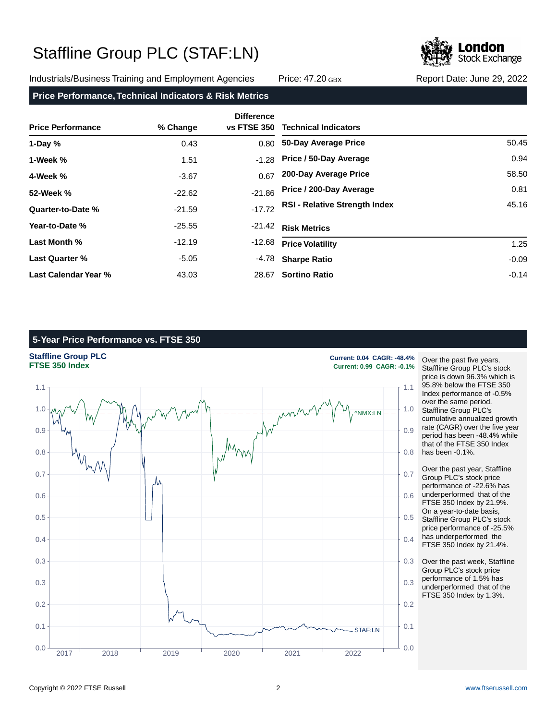Industrials/Business Training and Employment Agencies Price: 47.20 GBX Report Date: June 29, 2022

**Stock Exchange** 

### **Price Performance, Technical Indicators & Risk Metrics**

| <b>Price Performance</b> | % Change | <b>Difference</b><br><b>vs FTSE 350</b> | <b>Technical Indicators</b>          |         |
|--------------------------|----------|-----------------------------------------|--------------------------------------|---------|
| 1-Day $%$                | 0.43     | 0.80                                    | 50-Day Average Price                 | 50.45   |
| 1-Week %                 | 1.51     | $-1.28$                                 | Price / 50-Day Average               | 0.94    |
| 4-Week %                 | $-3.67$  | 0.67                                    | 200-Day Average Price                | 58.50   |
| 52-Week %                | $-22.62$ | $-21.86$                                | Price / 200-Day Average              | 0.81    |
| Quarter-to-Date %        | $-21.59$ | $-17.72$                                | <b>RSI - Relative Strength Index</b> | 45.16   |
| Year-to-Date %           | $-25.55$ | $-21.42$                                | <b>Risk Metrics</b>                  |         |
| Last Month %             | $-12.19$ | $-12.68$                                | <b>Price Volatility</b>              | 1.25    |
| <b>Last Quarter %</b>    | $-5.05$  | -4.78                                   | <b>Sharpe Ratio</b>                  | $-0.09$ |
| Last Calendar Year %     | 43.03    | 28.67                                   | <b>Sortino Ratio</b>                 | $-0.14$ |

### **5-Year Price Performance vs. FTSE 350**



Over the past five years, Staffline Group PLC's stock price is down 96.3% which is 95.8% below the FTSE 350 Index performance of -0.5% over the same period. Staffline Group PLC's cumulative annualized growth rate (CAGR) over the five year period has been -48.4% while that of the FTSE 350 Index has been -0.1%.

Over the past year, Staffline Group PLC's stock price performance of -22.6% has underperformed that of the FTSE 350 Index by 21.9%. On a year-to-date basis, Staffline Group PLC's stock price performance of -25.5% has underperformed the FTSE 350 Index by 21.4%.

Over the past week, Staffline Group PLC's stock price performance of 1.5% has underperformed that of the FTSE 350 Index by 1.3%.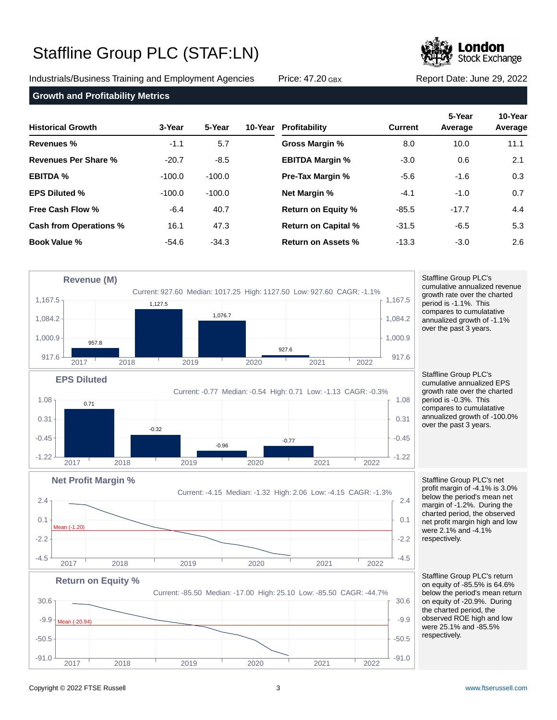Industrials/Business Training and Employment Agencies Price: 47.20 GBX Report Date: June 29, 2022

Mean (-20.94)



**Growth and Profitability Metrics**

| <b>Historical Growth</b>      | 3-Year   | 5-Year   | 10-Year | Profitability              | <b>Current</b> | 5-Year<br>Average | 10-Year<br>Average |
|-------------------------------|----------|----------|---------|----------------------------|----------------|-------------------|--------------------|
| Revenues %                    | $-1.1$   | 5.7      |         | Gross Margin %             | 8.0            | 10.0              | 11.1               |
| <b>Revenues Per Share %</b>   | $-20.7$  | $-8.5$   |         | <b>EBITDA Margin %</b>     | $-3.0$         | 0.6               | 2.1                |
| <b>EBITDA %</b>               | $-100.0$ | $-100.0$ |         | <b>Pre-Tax Margin %</b>    | $-5.6$         | $-1.6$            | 0.3                |
| <b>EPS Diluted %</b>          | $-100.0$ | $-100.0$ |         | <b>Net Margin %</b>        | $-4.1$         | $-1.0$            | 0.7                |
| Free Cash Flow %              | $-6.4$   | 40.7     |         | <b>Return on Equity %</b>  | $-85.5$        | $-17.7$           | 4.4                |
| <b>Cash from Operations %</b> | 16.1     | 47.3     |         | <b>Return on Capital %</b> | $-31.5$        | $-6.5$            | 5.3                |
| <b>Book Value %</b>           | $-54.6$  | $-34.3$  |         | Return on Assets %         | $-13.3$        | $-3.0$            | 2.6                |



Current: -85.50 Median: -17.00 High: 25.10 Low: -85.50 CAGR: -44.7%  $-91.0$   $-91.0$   $-91.0$   $-91.0$  $-50.5$   $+50.5$  $-9.9$  -Mean (-20.94)  $-9.9$  $30.6$   $\overline{\phantom{0}}$   $30.6$ 2017 2018 2019 2020 2021 2022 respectively.

Staffline Group PLC's cumulative annualized revenue growth rate over the charted period is -1.1%. This compares to cumulatative annualized growth of -1.1% over the past 3 years.

Staffline Group PLC's cumulative annualized EPS growth rate over the charted period is -0.3%. This compares to cumulatative annualized growth of -100.0% over the past 3 years.

Staffline Group PLC's net profit margin of -4.1% is 3.0% below the period's mean net margin of -1.2%. During the charted period, the observed net profit margin high and low were 2.1% and -4.1% respectively.

Staffline Group PLC's return on equity of -85.5% is 64.6% below the period's mean return on equity of -20.9%. During the charted period, the observed ROE high and low were 25.1% and -85.5%

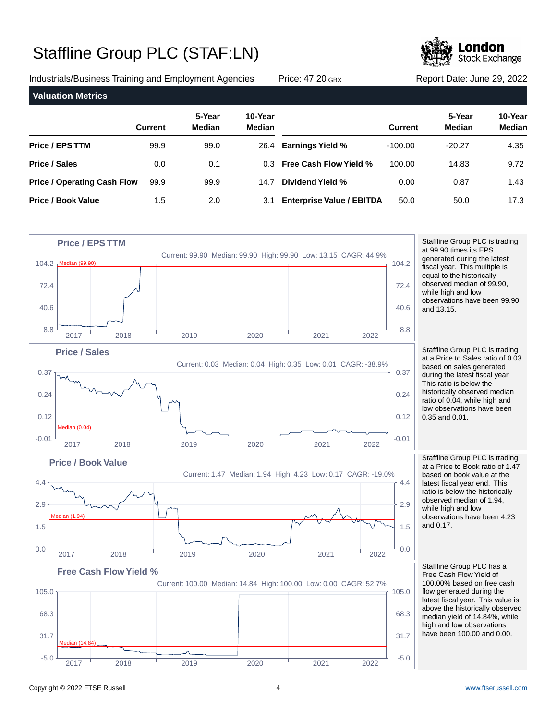Industrials/Business Training and Employment Agencies Price: 47.20 GBX Report Date: June 29, 2022

99.9

0.0

99.9

1.5

**Valuation Metrics**

**Price / Operating Cash Flow**

**Price / EPS TTM**

**Price / Book Value**

**Price / Sales**

| 50.0 |  |
|------|--|

0.00

-100.00 100.00



**5-Year 10-Year**

26.4 0.3 **Earnings Yield %**

**Dividend Yield %** 14.7

**Free Cash Flow Yield %**

**Enterprise Value / EBITDA** 3.1

**Current Median Median**

99.0 0.1

99.9

2.0

**Stock Exchange** 

**Current Median Median**

-20.27 14.83

> 0.87 50.0

**5-Year 10-Year**

4.35 9.72 1.43 17.3

Copyright © 2022 FTSE Russell 4 [www.ftserussell.com](http://www.ftserussell.com)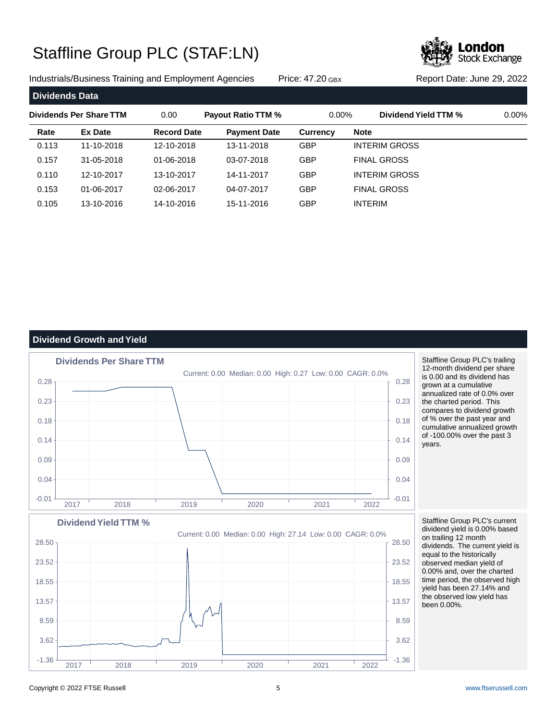Industrials/Business Training and Employment Agencies Price: 47.20 GBX Report Date: June 29, 2022

**Stock Exchange** 

| Dividends Data |                         |                    |                           |                 |                      |          |
|----------------|-------------------------|--------------------|---------------------------|-----------------|----------------------|----------|
|                | Dividends Per Share TTM | 0.00               | <b>Payout Ratio TTM %</b> | $0.00\%$        | Dividend Yield TTM % | $0.00\%$ |
| Rate           | <b>Ex Date</b>          | <b>Record Date</b> | <b>Payment Date</b>       | <b>Currency</b> | <b>Note</b>          |          |
| 0.113          | 11-10-2018              | 12-10-2018         | 13-11-2018                | <b>GBP</b>      | <b>INTERIM GROSS</b> |          |
| 0.157          | 31-05-2018              | 01-06-2018         | 03-07-2018                | <b>GBP</b>      | <b>FINAL GROSS</b>   |          |
| 0.110          | 12-10-2017              | 13-10-2017         | 14-11-2017                | <b>GBP</b>      | <b>INTERIM GROSS</b> |          |
| 0.153          | 01-06-2017              | 02-06-2017         | 04-07-2017                | <b>GBP</b>      | <b>FINAL GROSS</b>   |          |
| 0.105          | 13-10-2016              | 14-10-2016         | 15-11-2016                | <b>GBP</b>      | <b>INTERIM</b>       |          |

### **Dividend Growth and Yield**

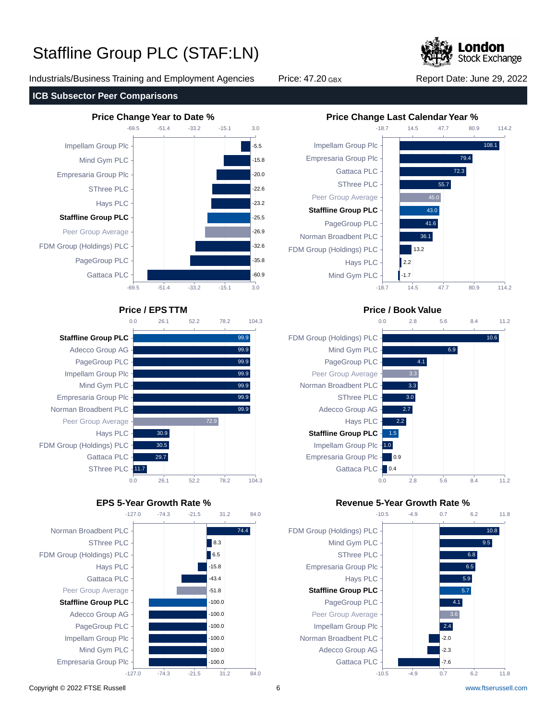Industrials/Business Training and Employment Agencies Price: 47.20 GBX Report Date: June 29, 2022

**Stock Exchange** 

114.2

114.2













### **Price / EPS TTM Price / Book Value**



### **EPS 5-Year Growth Rate % Revenue 5-Year Growth Rate %**

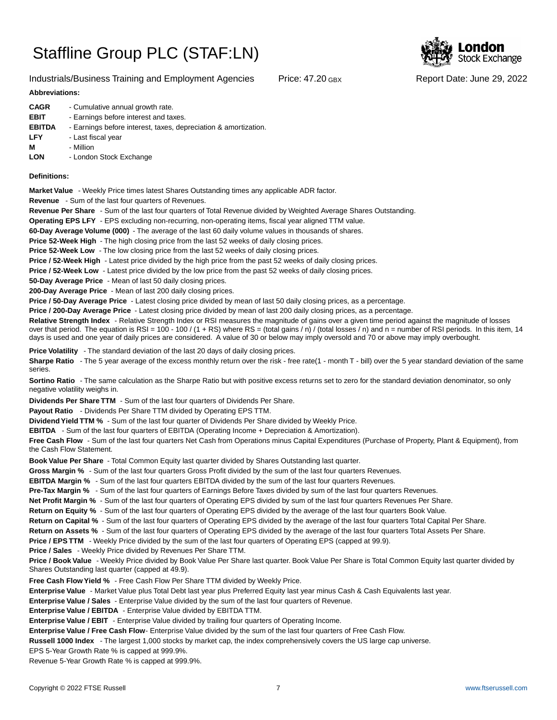### Industrials/Business Training and Employment Agencies Price: 47.20 GBX Report Date: June 29, 2022

### **Abbreviations:**

| <b>CAGR</b><br><b>EBIT</b><br><b>EBITDA</b><br><b>LFY</b> | - Cumulative annual growth rate.<br>- Earnings before interest and taxes.<br>- Earnings before interest, taxes, depreciation & amortization.<br>- Last fiscal year |
|-----------------------------------------------------------|--------------------------------------------------------------------------------------------------------------------------------------------------------------------|
| м                                                         | - Million                                                                                                                                                          |
| <b>LON</b>                                                | - London Stock Exchange                                                                                                                                            |

### **Definitions:**

**Market Value** - Weekly Price times latest Shares Outstanding times any applicable ADR factor.

**Revenue** - Sum of the last four quarters of Revenues.

**Revenue Per Share** - Sum of the last four quarters of Total Revenue divided by Weighted Average Shares Outstanding.

**Operating EPS LFY** - EPS excluding non-recurring, non-operating items, fiscal year aligned TTM value.

60-Day Average Volume (000) - The average of the last 60 daily volume values in thousands of shares.

**Price 52-Week High** - The high closing price from the last 52 weeks of daily closing prices.

**Price 52-Week Low** - The low closing price from the last 52 weeks of daily closing prices.

**Price / 52-Week High** - Latest price divided by the high price from the past 52 weeks of daily closing prices.

**Price / 52-Week Low** - Latest price divided by the low price from the past 52 weeks of daily closing prices.

**50-Day Average Price** - Mean of last 50 daily closing prices.

**200-Day Average Price** - Mean of last 200 daily closing prices.

Price / 50-Day Average Price - Latest closing price divided by mean of last 50 daily closing prices, as a percentage.

**Price / 200-Day Average Price** - Latest closing price divided by mean of last 200 daily closing prices, as a percentage.

Relative Strength Index - Relative Strength Index or RSI measures the magnitude of gains over a given time period against the magnitude of losses over that period. The equation is RSI = 100 - 100 / (1 + RS) where RS = (total gains / n) / (total losses / n) and n = number of RSI periods. In this item, 14 days is used and one year of daily prices are considered. A value of 30 or below may imply oversold and 70 or above may imply overbought.

**Price Volatility** - The standard deviation of the last 20 days of daily closing prices.

Sharpe Ratio - The 5 year average of the excess monthly return over the risk - free rate(1 - month T - bill) over the 5 year standard deviation of the same series.

**Sortino Ratio** - The same calculation as the Sharpe Ratio but with positive excess returns set to zero for the standard deviation denominator, so only negative volatility weighs in.

**Dividends Per Share TTM** - Sum of the last four quarters of Dividends Per Share.

Payout Ratio - Dividends Per Share TTM divided by Operating EPS TTM.

**Dividend Yield TTM %** - Sum of the last four quarter of Dividends Per Share divided by Weekly Price.

**EBITDA** - Sum of the last four quarters of EBITDA (Operating Income + Depreciation & Amortization).

**Free Cash Flow** - Sum of the last four quarters Net Cash from Operations minus Capital Expenditures (Purchase of Property, Plant & Equipment), from the Cash Flow Statement.

**Book Value Per Share** - Total Common Equity last quarter divided by Shares Outstanding last quarter.

**Gross Margin %** - Sum of the last four quarters Gross Profit divided by the sum of the last four quarters Revenues.

**EBITDA Margin %** - Sum of the last four quarters EBITDA divided by the sum of the last four quarters Revenues.

**Pre-Tax Margin %** - Sum of the last four quarters of Earnings Before Taxes divided by sum of the last four quarters Revenues.

**Net Profit Margin %** - Sum of the last four quarters of Operating EPS divided by sum of the last four quarters Revenues Per Share.

**Return on Equity %** - Sum of the last four quarters of Operating EPS divided by the average of the last four quarters Book Value.

**Return on Capital %** - Sum of the last four quarters of Operating EPS divided by the average of the last four quarters Total Capital Per Share.

**Return on Assets %** - Sum of the last four quarters of Operating EPS divided by the average of the last four quarters Total Assets Per Share.

**Price / EPS TTM** - Weekly Price divided by the sum of the last four quarters of Operating EPS (capped at 99.9).

**Price / Sales** - Weekly Price divided by Revenues Per Share TTM.

**Price / Book Value** - Weekly Price divided by Book Value Per Share last quarter. Book Value Per Share is Total Common Equity last quarter divided by Shares Outstanding last quarter (capped at 49.9).

**Free Cash Flow Yield %** - Free Cash Flow Per Share TTM divided by Weekly Price.

Enterprise Value - Market Value plus Total Debt last year plus Preferred Equity last year minus Cash & Cash Equivalents last year.

**Enterprise Value / Sales** - Enterprise Value divided by the sum of the last four quarters of Revenue.

**Enterprise Value / EBITDA** - Enterprise Value divided by EBITDA TTM.

**Enterprise Value / EBIT** - Enterprise Value divided by trailing four quarters of Operating Income.

Enterprise Value / Free Cash Flow- Enterprise Value divided by the sum of the last four quarters of Free Cash Flow.

**Russell 1000 Index** - The largest 1,000 stocks by market cap, the index comprehensively covers the US large cap universe.

EPS 5-Year Growth Rate % is capped at 999.9%.

Revenue 5-Year Growth Rate % is capped at 999.9%.